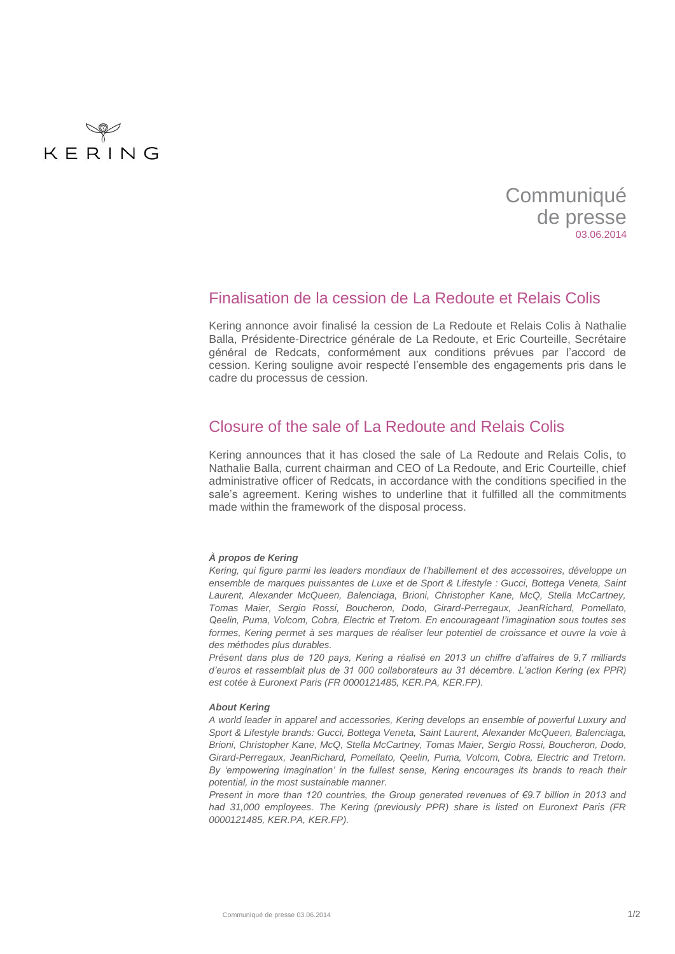

# **Communiqué** de presse 03.06.2014

### Finalisation de la cession de La Redoute et Relais Colis

Kering annonce avoir finalisé la cession de La Redoute et Relais Colis à Nathalie Balla, Présidente-Directrice générale de La Redoute, et Eric Courteille, Secrétaire général de Redcats, conformément aux conditions prévues par l'accord de cession. Kering souligne avoir respecté l'ensemble des engagements pris dans le cadre du processus de cession.

## Closure of the sale of La Redoute and Relais Colis

Kering announces that it has closed the sale of La Redoute and Relais Colis, to Nathalie Balla, current chairman and CEO of La Redoute, and Eric Courteille, chief administrative officer of Redcats, in accordance with the conditions specified in the sale's agreement. Kering wishes to underline that it fulfilled all the commitments made within the framework of the disposal process.

#### *À propos de Kering*

*Kering, qui figure parmi les leaders mondiaux de l'habillement et des accessoires, développe un ensemble de marques puissantes de Luxe et de Sport & Lifestyle : Gucci, Bottega Veneta, Saint Laurent, Alexander McQueen, Balenciaga, Brioni, Christopher Kane, McQ, Stella McCartney, Tomas Maier, Sergio Rossi, Boucheron, Dodo, Girard-Perregaux, JeanRichard, Pomellato, Qeelin, Puma, Volcom, Cobra, Electric et Tretorn. En encourageant l'imagination sous toutes ses*  formes, Kering permet à ses marques de réaliser leur potentiel de croissance et ouvre la voie à *des méthodes plus durables.* 

*Présent dans plus de 120 pays, Kering a réalisé en 2013 un chiffre d'affaires de 9,7 milliards d'euros et rassemblait plus de 31 000 collaborateurs au 31 décembre. L'action Kering (ex PPR) est cotée à Euronext Paris (FR 0000121485, KER.PA, KER.FP).*

#### *About Kering*

*A world leader in apparel and accessories, Kering develops an ensemble of powerful Luxury and Sport & Lifestyle brands: Gucci, Bottega Veneta, Saint Laurent, Alexander McQueen, Balenciaga, Brioni, Christopher Kane, McQ, Stella McCartney, Tomas Maier, Sergio Rossi, Boucheron, Dodo, Girard-Perregaux, JeanRichard, Pomellato, Qeelin, Puma, Volcom, Cobra, Electric and Tretorn. By 'empowering imagination' in the fullest sense, Kering encourages its brands to reach their potential, in the most sustainable manner.* 

*Present in more than 120 countries, the Group generated revenues of €9.7 billion in 2013 and had 31,000 employees. The Kering (previously PPR) share is listed on Euronext Paris (FR 0000121485, KER.PA, KER.FP).*